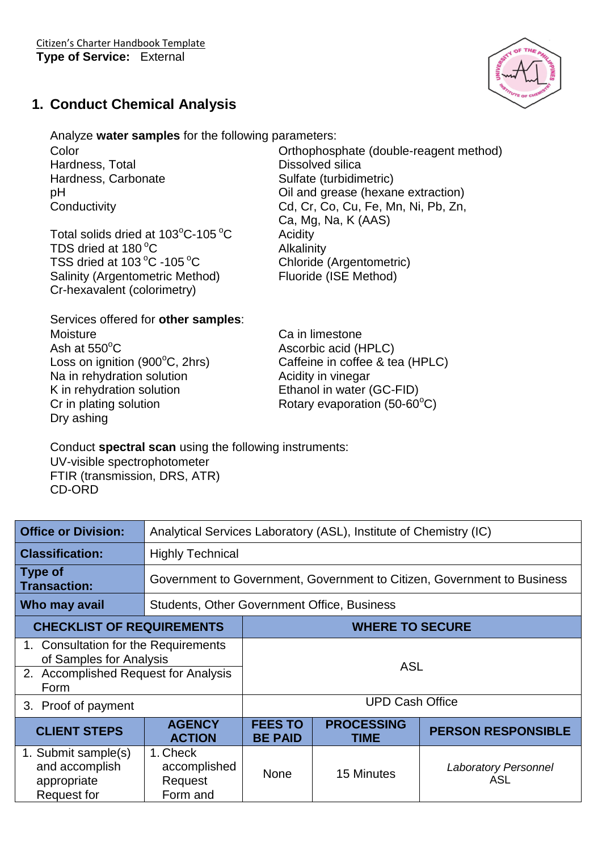

## **1. Conduct Chemical Analysis**

Analyze **water samples** for the following parameters:

Hardness, Total **Dissolved** silica Hardness, Carbonate Sulfate (turbidimetric)

Total solids dried at  $103^{\circ}$ C-105  $^{\circ}$ C Acidity TDS dried at 180 °C Alkalinity TSS dried at  $103 \degree C - 105 \degree C$  Chloride (Argentometric) Salinity (Argentometric Method) Fluoride (ISE Method) Cr-hexavalent (colorimetry)

Color Color Color Color Color Color Color Color Color Color Color Color Color Color Color Color Color Color Co pH **Dilleman Collection** Collection and grease (hexane extraction) Conductivity Cd, Cr, Co, Cu, Fe, Mn, Ni, Pb, Zn, Ca, Mg, Na, K (AAS)

Services offered for **other samples**:

Moisture **Ca** in limestone Ash at  $550^{\circ}$ C Ascorbic acid (HPLC) Na in rehydration solution Matchester Acidity in vinegar K in rehydration solution Ethanol in water (GC-FID) Cr in plating solution Rotary evaporation (50-60 $^{\circ}$ C) Dry ashing

Loss on ignition  $(900^{\circ}C, 2hrs)$  Caffeine in coffee & tea (HPLC)

Conduct **spectral scan** using the following instruments:

UV-visible spectrophotometer FTIR (transmission, DRS, ATR) CD-ORD

| <b>Office or Division:</b>                                                                                      | Analytical Services Laboratory (ASL), Institute of Chemistry (IC)       |                                  |                           |                                    |  |
|-----------------------------------------------------------------------------------------------------------------|-------------------------------------------------------------------------|----------------------------------|---------------------------|------------------------------------|--|
| <b>Classification:</b>                                                                                          | <b>Highly Technical</b>                                                 |                                  |                           |                                    |  |
| Type of<br><b>Transaction:</b>                                                                                  | Government to Government, Government to Citizen, Government to Business |                                  |                           |                                    |  |
| Who may avail                                                                                                   | <b>Students, Other Government Office, Business</b>                      |                                  |                           |                                    |  |
| <b>CHECKLIST OF REQUIREMENTS</b>                                                                                |                                                                         | <b>WHERE TO SECURE</b>           |                           |                                    |  |
| 1. Consultation for the Requirements<br>of Samples for Analysis<br>2. Accomplished Request for Analysis<br>Form |                                                                         | <b>ASL</b>                       |                           |                                    |  |
| 3. Proof of payment                                                                                             |                                                                         | <b>UPD Cash Office</b>           |                           |                                    |  |
| <b>CLIENT STEPS</b>                                                                                             | <b>AGENCY</b><br><b>ACTION</b>                                          | <b>FEES TO</b><br><b>BE PAID</b> | <b>PROCESSING</b><br>TIME | <b>PERSON RESPONSIBLE</b>          |  |
| 1. Submit sample(s)<br>and accomplish<br>appropriate<br>Request for                                             | 1. Check<br>accomplished<br>Request<br>Form and                         | <b>None</b>                      | 15 Minutes                | <b>Laboratory Personnel</b><br>ASL |  |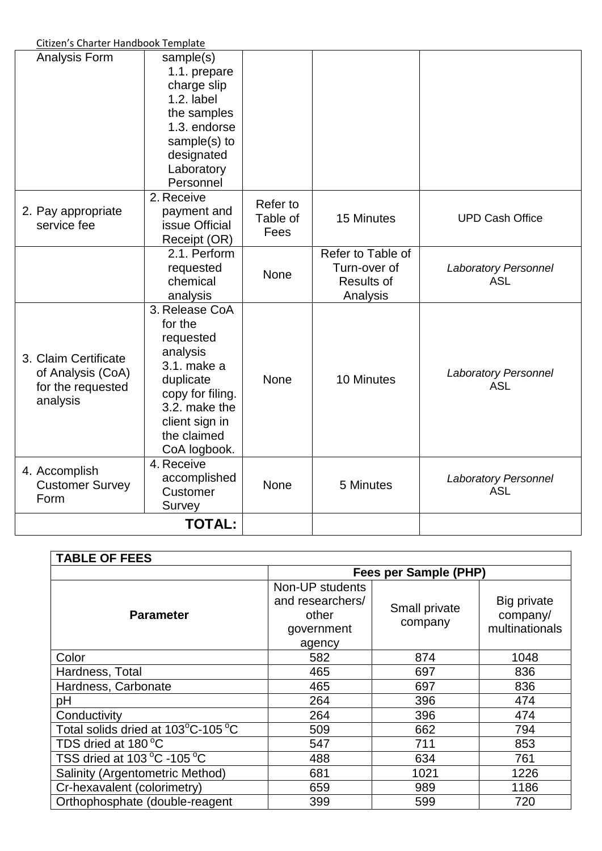Citizen's Charter Handbook Template

| Analysis Form                                                              | sample(s)<br>1.1. prepare<br>charge slip<br>$1.2.$ label<br>the samples<br>1.3. endorse<br>sample(s) to<br>designated<br>Laboratory<br>Personnel                     |                              |                                                             |                                           |
|----------------------------------------------------------------------------|----------------------------------------------------------------------------------------------------------------------------------------------------------------------|------------------------------|-------------------------------------------------------------|-------------------------------------------|
| 2. Pay appropriate<br>service fee                                          | 2. Receive<br>payment and<br>issue Official<br>Receipt (OR)                                                                                                          | Refer to<br>Table of<br>Fees | 15 Minutes                                                  | <b>UPD Cash Office</b>                    |
|                                                                            | 2.1. Perform<br>requested<br>chemical<br>analysis                                                                                                                    | None                         | Refer to Table of<br>Turn-over of<br>Results of<br>Analysis | <b>Laboratory Personnel</b><br><b>ASL</b> |
| 3. Claim Certificate<br>of Analysis (CoA)<br>for the requested<br>analysis | 3. Release CoA<br>for the<br>requested<br>analysis<br>3.1. make a<br>duplicate<br>copy for filing.<br>3.2. make the<br>client sign in<br>the claimed<br>CoA logbook. | None                         | 10 Minutes                                                  | <b>Laboratory Personnel</b><br><b>ASL</b> |
| 4. Accomplish<br><b>Customer Survey</b><br>Form                            | 4. Receive<br>accomplished<br>Customer<br>Survey                                                                                                                     | None                         | 5 Minutes                                                   | <b>Laboratory Personnel</b><br><b>ASL</b> |
|                                                                            | <b>TOTAL:</b>                                                                                                                                                        |                              |                                                             |                                           |

| <b>TABLE OF FEES</b>                          |                                                                      |                          |                                           |  |
|-----------------------------------------------|----------------------------------------------------------------------|--------------------------|-------------------------------------------|--|
|                                               | Fees per Sample (PHP)                                                |                          |                                           |  |
| <b>Parameter</b>                              | Non-UP students<br>and researchers/<br>other<br>government<br>agency | Small private<br>company | Big private<br>company/<br>multinationals |  |
| Color                                         | 582                                                                  | 874                      | 1048                                      |  |
| Hardness, Total                               | 465                                                                  | 697                      | 836                                       |  |
| Hardness, Carbonate                           | 465                                                                  | 697                      | 836                                       |  |
| pH                                            | 264                                                                  | 396                      | 474                                       |  |
| Conductivity                                  | 264                                                                  | 396                      | 474                                       |  |
| Total solids dried at 103°C-105 °C            | 509                                                                  | 662                      | 794                                       |  |
| TDS dried at 180 °C                           | 547                                                                  | 711                      | 853                                       |  |
| TSS dried at 103 $\degree$ C -105 $\degree$ C | 488                                                                  | 634                      | 761                                       |  |
| Salinity (Argentometric Method)               | 681                                                                  | 1021                     | 1226                                      |  |
| Cr-hexavalent (colorimetry)                   | 659                                                                  | 989                      | 1186                                      |  |
| Orthophosphate (double-reagent                | 399                                                                  | 599                      | 720                                       |  |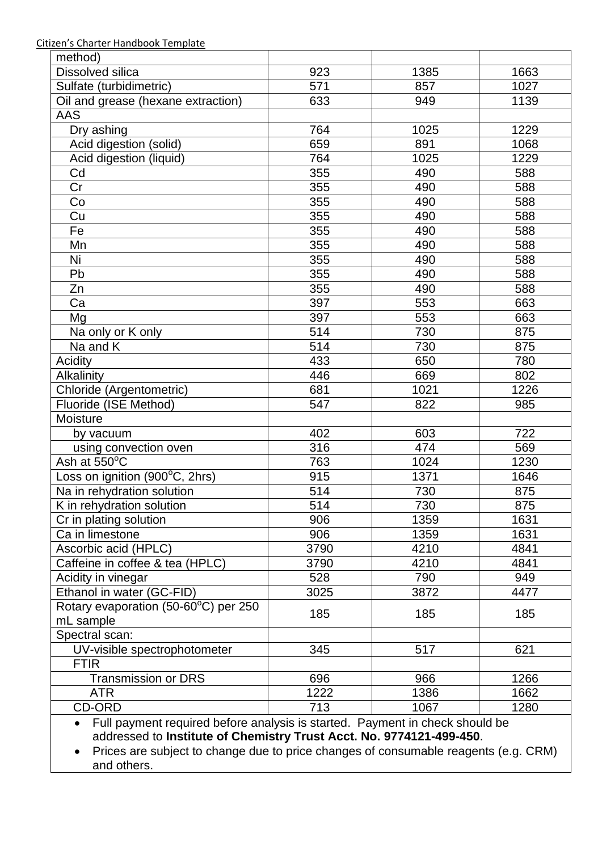Citizen's Charter Handbook Template

| method)                                                                      |      |      |      |
|------------------------------------------------------------------------------|------|------|------|
| <b>Dissolved silica</b>                                                      | 923  | 1385 | 1663 |
| Sulfate (turbidimetric)                                                      | 571  | 857  | 1027 |
| Oil and grease (hexane extraction)                                           | 633  | 949  | 1139 |
| <b>AAS</b>                                                                   |      |      |      |
| Dry ashing                                                                   | 764  | 1025 | 1229 |
| Acid digestion (solid)                                                       | 659  | 891  | 1068 |
| Acid digestion (liquid)                                                      | 764  | 1025 | 1229 |
| Cd                                                                           | 355  | 490  | 588  |
| Cr                                                                           | 355  | 490  | 588  |
| Co                                                                           | 355  | 490  | 588  |
| Cu                                                                           | 355  | 490  | 588  |
| Fe                                                                           | 355  | 490  | 588  |
| Mn                                                                           | 355  | 490  | 588  |
| Ni                                                                           | 355  | 490  | 588  |
| Pb                                                                           | 355  | 490  | 588  |
| Zn                                                                           | 355  | 490  | 588  |
| Ca                                                                           | 397  | 553  | 663  |
| Mg                                                                           | 397  | 553  | 663  |
| Na only or K only                                                            | 514  | 730  | 875  |
| Na and K                                                                     | 514  | 730  | 875  |
| Acidity                                                                      | 433  | 650  | 780  |
| Alkalinity                                                                   | 446  | 669  | 802  |
| Chloride (Argentometric)                                                     | 681  | 1021 | 1226 |
| Fluoride (ISE Method)                                                        | 547  | 822  | 985  |
| Moisture                                                                     |      |      |      |
| by vacuum                                                                    | 402  | 603  | 722  |
| using convection oven                                                        | 316  | 474  | 569  |
| Ash at 550°C                                                                 | 763  | 1024 | 1230 |
| Loss on ignition (900°C, 2hrs)                                               | 915  | 1371 | 1646 |
| Na in rehydration solution                                                   | 514  | 730  | 875  |
| K in rehydration solution                                                    | 514  | 730  | 875  |
| Cr in plating solution                                                       | 906  | 1359 | 1631 |
| Ca in limestone                                                              | 906  | 1359 | 1631 |
| Ascorbic acid (HPLC)                                                         | 3790 | 4210 | 4841 |
| Caffeine in coffee & tea (HPLC)                                              | 3790 | 4210 | 4841 |
| Acidity in vinegar                                                           | 528  | 790  | 949  |
| Ethanol in water (GC-FID)                                                    | 3025 | 3872 | 4477 |
| Rotary evaporation (50-60°C) per 250                                         |      |      |      |
| mL sample                                                                    | 185  | 185  | 185  |
| Spectral scan:                                                               |      |      |      |
| UV-visible spectrophotometer                                                 | 345  | 517  | 621  |
| <b>FTIR</b>                                                                  |      |      |      |
| <b>Transmission or DRS</b>                                                   | 696  | 966  | 1266 |
| <b>ATR</b>                                                                   | 1222 | 1386 | 1662 |
| <b>CD-ORD</b>                                                                | 713  | 1067 | 1280 |
| Full payment required before analysis is started. Payment in check should be |      |      |      |

addressed to **Institute of Chemistry Trust Acct. No. 9774121-499-450**.

 Prices are subject to change due to price changes of consumable reagents (e.g. CRM) and others.